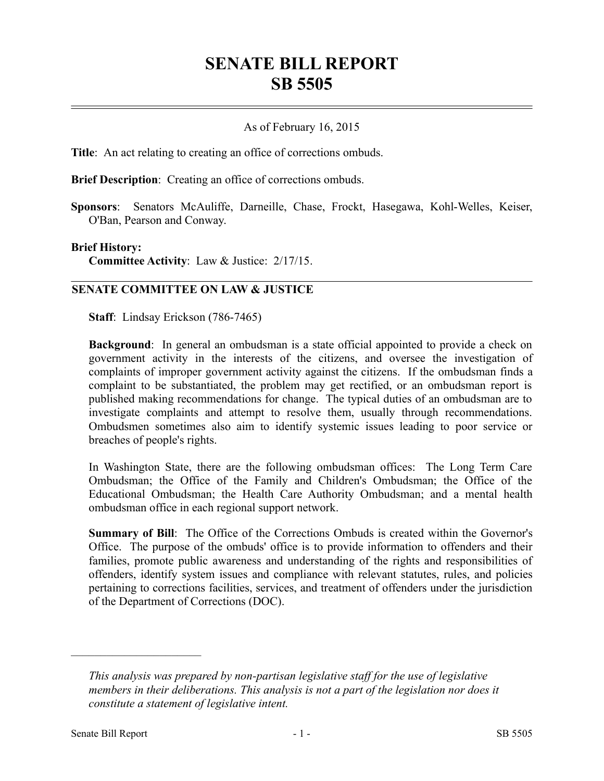## **SENATE BILL REPORT SB 5505**

## As of February 16, 2015

**Title**: An act relating to creating an office of corrections ombuds.

**Brief Description**: Creating an office of corrections ombuds.

**Sponsors**: Senators McAuliffe, Darneille, Chase, Frockt, Hasegawa, Kohl-Welles, Keiser, O'Ban, Pearson and Conway.

## **Brief History:**

**Committee Activity**: Law & Justice: 2/17/15.

## **SENATE COMMITTEE ON LAW & JUSTICE**

**Staff**: Lindsay Erickson (786-7465)

**Background**: In general an ombudsman is a state official appointed to provide a check on government activity in the interests of the citizens, and oversee the investigation of complaints of improper government activity against the citizens. If the ombudsman finds a complaint to be substantiated, the problem may get rectified, or an ombudsman report is published making recommendations for change. The typical duties of an ombudsman are to investigate complaints and attempt to resolve them, usually through recommendations. Ombudsmen sometimes also aim to identify systemic issues leading to poor service or breaches of people's rights.

In Washington State, there are the following ombudsman offices: The Long Term Care Ombudsman; the Office of the Family and Children's Ombudsman; the Office of the Educational Ombudsman; the Health Care Authority Ombudsman; and a mental health ombudsman office in each regional support network.

**Summary of Bill**: The Office of the Corrections Ombuds is created within the Governor's Office. The purpose of the ombuds' office is to provide information to offenders and their families, promote public awareness and understanding of the rights and responsibilities of offenders, identify system issues and compliance with relevant statutes, rules, and policies pertaining to corrections facilities, services, and treatment of offenders under the jurisdiction of the Department of Corrections (DOC).

––––––––––––––––––––––

*This analysis was prepared by non-partisan legislative staff for the use of legislative members in their deliberations. This analysis is not a part of the legislation nor does it constitute a statement of legislative intent.*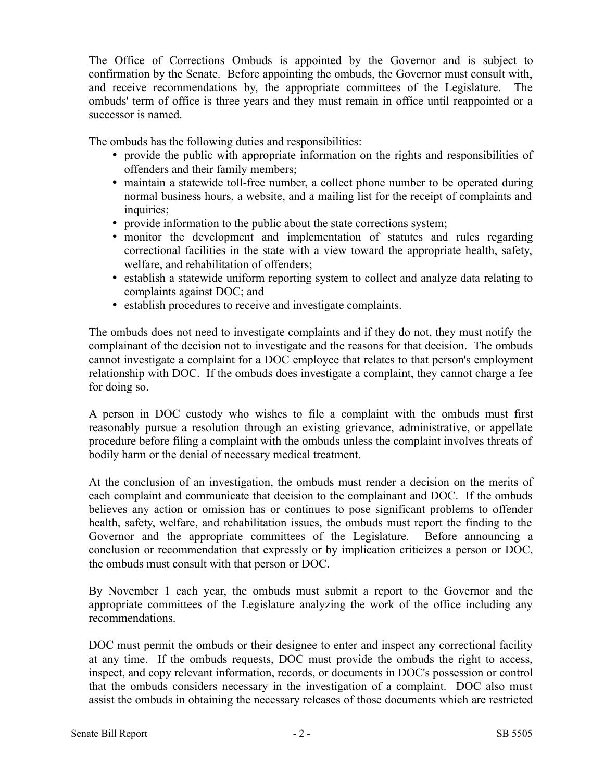The Office of Corrections Ombuds is appointed by the Governor and is subject to confirmation by the Senate. Before appointing the ombuds, the Governor must consult with, and receive recommendations by, the appropriate committees of the Legislature. The ombuds' term of office is three years and they must remain in office until reappointed or a successor is named.

The ombuds has the following duties and responsibilities:

- provide the public with appropriate information on the rights and responsibilities of offenders and their family members;
- maintain a statewide toll-free number, a collect phone number to be operated during normal business hours, a website, and a mailing list for the receipt of complaints and inquiries;
- provide information to the public about the state corrections system;
- monitor the development and implementation of statutes and rules regarding correctional facilities in the state with a view toward the appropriate health, safety, welfare, and rehabilitation of offenders;
- establish a statewide uniform reporting system to collect and analyze data relating to complaints against DOC; and
- establish procedures to receive and investigate complaints.

The ombuds does not need to investigate complaints and if they do not, they must notify the complainant of the decision not to investigate and the reasons for that decision. The ombuds cannot investigate a complaint for a DOC employee that relates to that person's employment relationship with DOC. If the ombuds does investigate a complaint, they cannot charge a fee for doing so.

A person in DOC custody who wishes to file a complaint with the ombuds must first reasonably pursue a resolution through an existing grievance, administrative, or appellate procedure before filing a complaint with the ombuds unless the complaint involves threats of bodily harm or the denial of necessary medical treatment.

At the conclusion of an investigation, the ombuds must render a decision on the merits of each complaint and communicate that decision to the complainant and DOC. If the ombuds believes any action or omission has or continues to pose significant problems to offender health, safety, welfare, and rehabilitation issues, the ombuds must report the finding to the Governor and the appropriate committees of the Legislature. Before announcing a conclusion or recommendation that expressly or by implication criticizes a person or DOC, the ombuds must consult with that person or DOC.

By November 1 each year, the ombuds must submit a report to the Governor and the appropriate committees of the Legislature analyzing the work of the office including any recommendations.

DOC must permit the ombuds or their designee to enter and inspect any correctional facility at any time. If the ombuds requests, DOC must provide the ombuds the right to access, inspect, and copy relevant information, records, or documents in DOC's possession or control that the ombuds considers necessary in the investigation of a complaint. DOC also must assist the ombuds in obtaining the necessary releases of those documents which are restricted